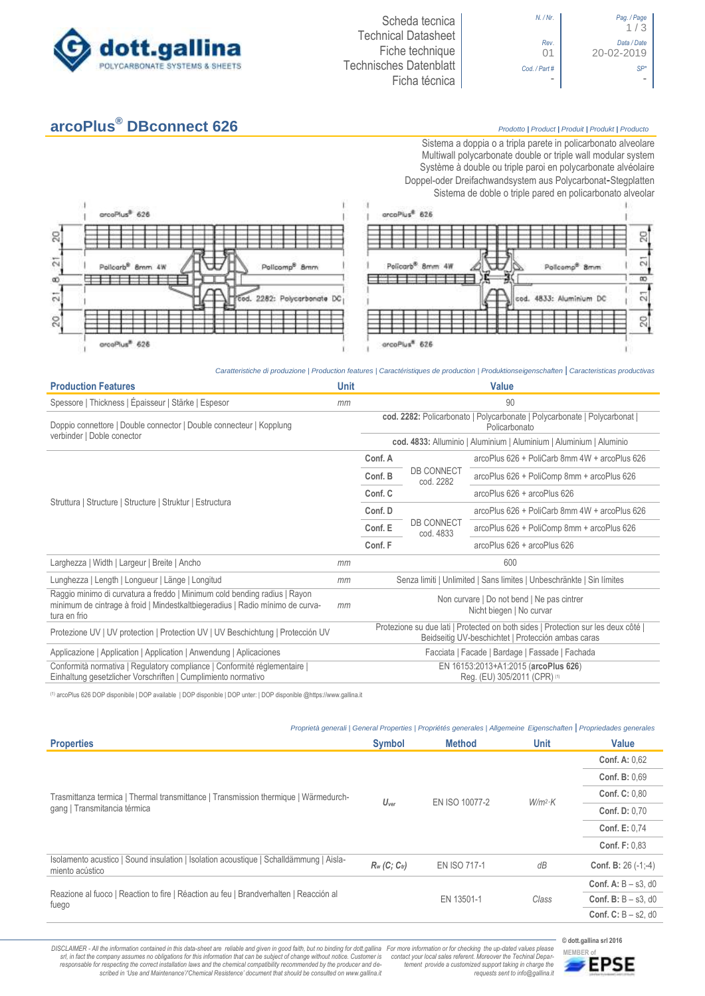

Scheda tecnica Technical Datasheet Fiche technique Technisches Datenblatt Ficha técnica



20

21

 $\overline{\infty}$ 

 $\overline{2}$ 

20

# **arcoPlus® DBconnect 626** *Prodotto <sup>|</sup> Product <sup>|</sup> Produit <sup>|</sup> Produkt <sup>|</sup> Producto*





#### *Caratteristiche di produzione | Production features | Caractéristiques de production | Produktionseigenschaften* **|** *Caracteristicas productivas*

| <b>Production Features</b>                                                                                                                                                 | <b>Unit</b> |                                                                                                                                         |                                                                        | <b>Value</b>                                                        |  |
|----------------------------------------------------------------------------------------------------------------------------------------------------------------------------|-------------|-----------------------------------------------------------------------------------------------------------------------------------------|------------------------------------------------------------------------|---------------------------------------------------------------------|--|
| Spessore   Thickness   Épaisseur   Stärke   Espesor                                                                                                                        | mm          | 90                                                                                                                                      |                                                                        |                                                                     |  |
| Doppio connettore   Double connector   Double connecteur   Kopplung                                                                                                        |             | cod. 2282: Policarbonato   Polycarbonate   Polycarbonate   Polycarbonat  <br>Policarbonato                                              |                                                                        |                                                                     |  |
| verbinder   Doble conector                                                                                                                                                 |             |                                                                                                                                         |                                                                        | cod. 4833: Alluminio   Aluminium   Aluminium   Aluminium   Aluminio |  |
|                                                                                                                                                                            |             | Conf. A                                                                                                                                 | <b>DB CONNECT</b><br>cod. 2282                                         | arcoPlus 626 + PoliCarb 8mm 4W + arcoPlus 626                       |  |
|                                                                                                                                                                            |             | Conf. B                                                                                                                                 |                                                                        | arcoPlus 626 + PoliComp 8mm + arcoPlus 626                          |  |
| Struttura   Structure   Structure   Struktur   Estructura                                                                                                                  |             | Conf. C                                                                                                                                 | DB CONNECT<br>cod. 4833                                                | arcoPlus 626 + arcoPlus 626                                         |  |
|                                                                                                                                                                            |             | Conf. D                                                                                                                                 |                                                                        | arcoPlus 626 + PoliCarb 8mm 4W + arcoPlus 626                       |  |
|                                                                                                                                                                            |             | Conf. E                                                                                                                                 |                                                                        | arcoPlus 626 + PoliComp 8mm + arcoPlus 626                          |  |
|                                                                                                                                                                            |             | Conf. F                                                                                                                                 |                                                                        | arcoPlus 626 + arcoPlus 626                                         |  |
| Larghezza   Width   Largeur   Breite   Ancho                                                                                                                               | mm          | 600                                                                                                                                     |                                                                        |                                                                     |  |
| Lunghezza   Length   Longueur   Länge   Longitud                                                                                                                           | mm          | Senza limiti   Unlimited   Sans limites   Unbeschränkte   Sin límites                                                                   |                                                                        |                                                                     |  |
| Raggio minimo di curvatura a freddo   Minimum cold bending radius   Rayon<br>minimum de cintrage à froid   Mindestkaltbiegeradius   Radio mínimo de curva-<br>tura en frio | mm          |                                                                                                                                         | Non curvare   Do not bend   Ne pas cintrer<br>Nicht biegen   No curvar |                                                                     |  |
| Protezione UV   UV protection   Protection UV   UV Beschichtung   Protección UV                                                                                            |             | Protezione su due lati   Protected on both sides   Protection sur les deux côté  <br>Beidseitig UV-beschichtet   Protección ambas caras |                                                                        |                                                                     |  |
| Applicazione   Application   Application   Anwendung   Aplicaciones                                                                                                        |             | Facciata   Facade   Bardage   Fassade   Fachada                                                                                         |                                                                        |                                                                     |  |
| Conformità normativa   Regulatory compliance   Conformité réglementaire  <br>Einhaltung gesetzlicher Vorschriften   Cumplimiento normativo                                 |             | EN 16153:2013+A1:2015 (arcoPlus 626)<br>Req. (EU) 305/2011 (CPR) (1)                                                                    |                                                                        |                                                                     |  |

(1) arcoPlus 626 DOP disponibile | DOP available | DOP disponible | DOP unter: | DOP disponible @https://www.gallina.it

|                                                                                                                      | Proprietà generali   General Properties   Propriétés generales   Allgemeine Eigenschaften   Propriedades generales |                     |             |                             |
|----------------------------------------------------------------------------------------------------------------------|--------------------------------------------------------------------------------------------------------------------|---------------------|-------------|-----------------------------|
| <b>Properties</b>                                                                                                    | <b>Symbol</b>                                                                                                      | <b>Method</b>       | <b>Unit</b> | <b>Value</b>                |
| Trasmittanza termica   Thermal transmittance   Transmission thermique   Wärmedurch-<br>Transmitancia térmica<br>gang |                                                                                                                    | EN ISO 10077-2      |             | <b>Conf. A: 0.62</b>        |
|                                                                                                                      |                                                                                                                    |                     | $W/m^2$ K   | Conf. B: 0.69               |
|                                                                                                                      |                                                                                                                    |                     |             | Conf. C: 0.80               |
|                                                                                                                      | $U_{\text{ver}}$                                                                                                   |                     |             | <b>Conf. D: 0.70</b>        |
|                                                                                                                      |                                                                                                                    |                     |             | <b>Conf. E: 0.74</b>        |
|                                                                                                                      |                                                                                                                    |                     |             | <b>Conf. F: 0.83</b>        |
| Isolamento acustico   Sound insulation   Isolation acoustique   Schalldämmung   Aisla-<br>miento acústico            | $R_w$ (C; C <sub>tr</sub> )                                                                                        | <b>EN ISO 717-1</b> | dB          | <b>Conf. B:</b> $26(-1,-4)$ |
|                                                                                                                      |                                                                                                                    |                     |             | Conf. A: $B - s3$ , d0      |
| Reazione al fuoco   Reaction to fire   Réaction au feu   Brandverhalten   Reacción al<br>fuego                       |                                                                                                                    | EN 13501-1          | Class       | Conf. $B: B - s3$ . d0      |
|                                                                                                                      |                                                                                                                    |                     |             | Conf. C: $B - s2$ . d0      |

DISCLAIMER - All the information contained in this data-sheet are reliable and given in good faith, but no binding for dott.gallina For more information or for checking the up-dated values please<br>-srl, in fact the company -responsable for respecting the correct installation laws and the chemical compatibility recommended by the producer and de-<br>scribed in 'Use and Maintenance'/'Chemical Resistence' document that should be consulted on www.g

*tement provide a customized support taking in charge the requests sent to info@gallina.it*



**© dott.gallina srl 2016**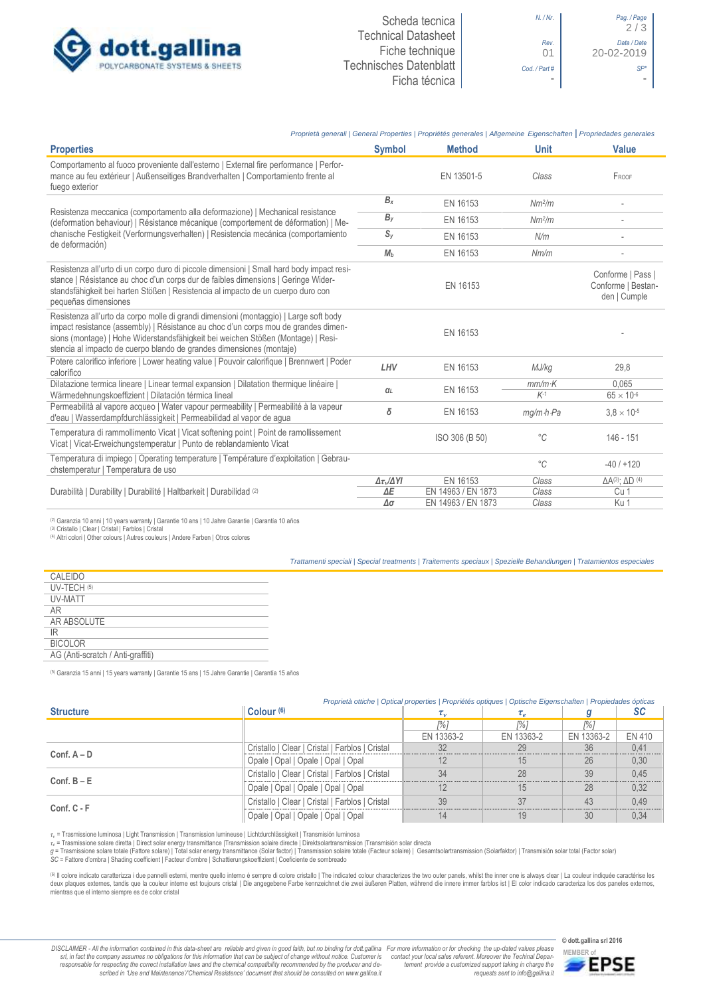

## *Proprietà generali | General Properties | Propriétés generales | Allgemeine Eigenschaften* **|** *Propriedades generales*

| <b>Properties</b>                                                                                                                                                                                                                                                                                                                       | <b>Symbol</b>                            | <b>Method</b>      | <b>Unit</b>             | <b>Value</b>                                            |
|-----------------------------------------------------------------------------------------------------------------------------------------------------------------------------------------------------------------------------------------------------------------------------------------------------------------------------------------|------------------------------------------|--------------------|-------------------------|---------------------------------------------------------|
| Comportamento al fuoco proveniente dall'esterno   External fire performance   Perfor-<br>mance au feu extérieur   Außenseitiges Brandverhalten   Comportamiento frente al<br>fuego exterior                                                                                                                                             |                                          | EN 13501-5         | Class                   | FROOF                                                   |
|                                                                                                                                                                                                                                                                                                                                         | $B_{x}$                                  | EN 16153           | Nm <sup>2</sup> /m      |                                                         |
| Resistenza meccanica (comportamento alla deformazione)   Mechanical resistance<br>(deformation behaviour)   Résistance mécanique (comportement de déformation)   Me-                                                                                                                                                                    | $B_y$                                    | EN 16153           | Nm <sup>2</sup> /m      |                                                         |
| chanische Festigkeit (Verformungsverhalten)   Resistencia mecánica (comportamiento                                                                                                                                                                                                                                                      | $S_{V}$                                  | EN 16153           | N/m                     |                                                         |
| de deformación)                                                                                                                                                                                                                                                                                                                         | M <sub>b</sub>                           | EN 16153           | Nm/m                    |                                                         |
| Resistenza all'urto di un corpo duro di piccole dimensioni   Small hard body impact resi-<br>stance   Résistance au choc d'un corps dur de faibles dimensions   Geringe Wider-<br>standsfähigkeit bei harten Stößen   Resistencia al impacto de un cuerpo duro con<br>pequeñas dimensiones                                              |                                          | EN 16153           |                         | Conforme   Pass  <br>Conforme   Bestan-<br>den   Cumple |
| Resistenza all'urto da corpo molle di grandi dimensioni (montaggio)   Large soft body<br>impact resistance (assembly)   Résistance au choc d'un corps mou de grandes dimen-<br>sions (montage)   Hohe Widerstandsfähigkeit bei weichen Stößen (Montage)   Resi-<br>stencia al impacto de cuerpo blando de grandes dimensiones (montaje) |                                          | EN 16153           |                         |                                                         |
| Potere calorifico inferiore   Lower heating value   Pouvoir calorifique   Brennwert   Poder<br>calorífico                                                                                                                                                                                                                               | LHV                                      | EN 16153           | MJ/kg                   | 29,8                                                    |
| Dilatazione termica lineare   Linear termal expansion   Dilatation thermique linéaire  <br>Wärmedehnungskoeffizient   Dilatación térmica lineal                                                                                                                                                                                         | $\alpha_L$                               | EN 16153           | $mm/m$ K<br>$K-1$       | 0.065<br>$65 \times 10^{-6}$                            |
| Permeabilità al vapore acqueo   Water vapour permeability   Permeabilité à la vapeur<br>d'eau   Wasserdampfdurchlässigkeit   Permeabilidad al vapor de agua                                                                                                                                                                             | δ                                        | EN 16153           | $mq/m \cdot h \cdot Pa$ | $3.8 \times 10^{-5}$                                    |
| Temperatura di rammollimento Vicat   Vicat softening point   Point de ramollissement<br>Vicat   Vicat-Erweichungstemperatur   Punto de reblandamiento Vicat                                                                                                                                                                             |                                          | ISO 306 (B 50)     | $^{\circ}C$             | 146 - 151                                               |
| Temperatura di impiego   Operating temperature   Température d'exploitation   Gebrau-<br>chstemperatur   Temperatura de uso                                                                                                                                                                                                             |                                          |                    | $^{\circ}C$             | $-40/1+120$                                             |
|                                                                                                                                                                                                                                                                                                                                         | $\Delta \tau_v/\Delta Y I$<br>$\Delta E$ | EN 16153           | Class                   | $\Delta A^{(3)}$ ; $\Delta D^{(4)}$                     |
| Durabilità   Durability   Durabilité   Haltbarkeit   Durabilidad (2)                                                                                                                                                                                                                                                                    |                                          | EN 14963 / EN 1873 | Class                   | Cu 1                                                    |
|                                                                                                                                                                                                                                                                                                                                         |                                          | EN 14963 / EN 1873 | Class                   | Ku 1                                                    |

(2) Garanzia 10 anni | 10 years warranty | Garantie 10 ans | 10 Jahre Garantie | Garantía 10 años

(3) Cristallo | Clear | Cristal | Farblos | Cristal (4) Altri colori | Other colours | Autres couleurs | Andere Farben | Otros colores

## *Trattamenti speciali | Special treatments | Traitements speciaux | Spezielle Behandlungen | Tratamientos especiales*

| CALEIDO                           |  |
|-----------------------------------|--|
| UV-TECH (5)                       |  |
| <b>IJV-MATT</b>                   |  |
| AR                                |  |
| AR ABSOLUTE                       |  |
| IR                                |  |
| BICOLOR                           |  |
| AG (Anti-scratch / Anti-graffiti) |  |
|                                   |  |

(5) Garanzia 15 anni | 15 years warranty | Garantie 15 ans | 15 Jahre Garantie | Garantía 15 años

| Proprietà ottiche   Optical properties   Propriétés optiques   Optische Eigenschaften   Propiedades ópticas |                                                 |                                  |            |            |           |
|-------------------------------------------------------------------------------------------------------------|-------------------------------------------------|----------------------------------|------------|------------|-----------|
| Colour $(6)$<br><b>Structure</b>                                                                            |                                                 | $\tau_{\nu}$                     |            |            | <b>SC</b> |
|                                                                                                             |                                                 | l%1                              | 1% I       | l%1        |           |
|                                                                                                             |                                                 | EN 13363-2                       | EN 13363-2 | EN 13363-2 | EN 410    |
|                                                                                                             | Cristallo   Clear   Cristal   Farblos   Cristal | 32                               | 29         | 36         | 0,41      |
| $Conf. A - D$                                                                                               | Opale   Opal   Opale   Opal   Opal              | 26<br>12<br>15<br>34<br>28<br>39 | 0,30       |            |           |
| $Conf. B - E$                                                                                               | Cristallo   Clear   Cristal   Farblos   Cristal |                                  |            |            | 0,45      |
|                                                                                                             | Opale   Opal   Opale   Opal   Opal              | 12<br>15<br>39<br>37<br>19<br>14 | 28         | 0,32       |           |
| $Conf, C - F$                                                                                               | Cristallo   Clear   Cristal   Farblos   Cristal | 43<br>30                         | 0,49       |            |           |
|                                                                                                             | Opale   Opal   Opale   Opal   Opal              |                                  |            |            | 0,34      |

r., = Trasmissione luminosa | Light Transmission | Transmission lumineuse | Lichtdurchlässigkeit | Transmisión luminosa<br>r. = Trasmissione solare diretta | Direct solar energy transmittance |Transmission solaire directe |

g = Trasmissione solare totale (Fattore solare) | Total solar energy transmitance (Solar factor) | Transmission solaire totale (Facteur solaire) | Gesamtsolartransmission (Solarfaktor) | Transmisión solar total (Factor sol

® Il colore indicato caratterizza i due pannelli esterni, mentre quello interno è sempre di colore cristallo | The indicated colour characterizes the two outer panels, whilst the inner one is always clear | La couleur ind mientras que el interno siempre es de color cristal

DISCLAIMER - All the information contained in this data-sheet are reliable and given in good faith, but no binding for dott.gallina For more information or for checking the up-dated values please<br>-srl, in fact the company -responsable for respecting the correct installation laws and the chemical compatibility recommended by the producer and de-<br>scribed in 'Use and Maintenance'/'Chemical Resistence' document that should be consulted on www.g

*tement provide a customized support taking in charge the requests sent to info@gallina.it*



**© dott.gallina srl 2016**